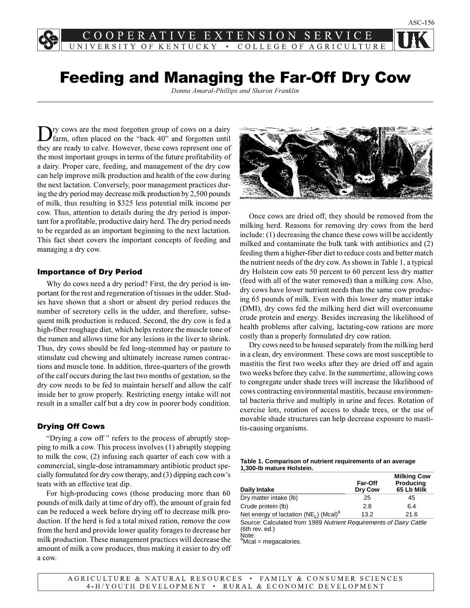ERATIVE EXTENSION SER UNIVERSITY OF KENTUCKY • COLLEGE OF AGRICULTURE

Feeding and Managing the Far-Off Dry Cow

*Donna Amaral-Phillips and Sharon Franklin*

Dry cows are the most forgotten group of cows on a dairy farm, often placed on the "back 40" and forgotten until they are ready to calve. However, these cows represent one of the most important groups in terms of the future profitability of a dairy. Proper care, feeding, and management of the dry cow can help improve milk production and health of the cow during the next lactation. Conversely, poor management practices during the dry period may decrease milk production by 2,500 pounds of milk, thus resulting in \$325 less potential milk income per cow. Thus, attention to details during the dry period is important for a profitable, productive dairy herd. The dry period needs to be regarded as an important beginning to the next lactation. This fact sheet covers the important concepts of feeding and managing a dry cow.

#### Importance of Dry Period

Why do cows need a dry period? First, the dry period is important for the rest and regeneration of tissues in the udder. Studies have shown that a short or absent dry period reduces the number of secretory cells in the udder, and therefore, subsequent milk production is reduced. Second, the dry cow is fed a high-fiber roughage diet, which helps restore the muscle tone of the rumen and allows time for any lesions in the liver to shrink. Thus, dry cows should be fed long-stemmed hay or pasture to stimulate cud chewing and ultimately increase rumen contractions and muscle tone. In addition, three-quarters of the growth of the calf occurs during the last two months of gestation, so the dry cow needs to be fed to maintain herself and allow the calf inside her to grow properly. Restricting energy intake will not result in a smaller calf but a dry cow in poorer body condition.

## Drying Off Cows

"Drying a cow off" refers to the process of abruptly stopping to milk a cow. This process involves (1) abruptly stopping to milk the cow, (2) infusing each quarter of each cow with a commercial, single-dose intramammary antibiotic product specially formulated for dry cow therapy, and (3) dipping each cow's teats with an effective teat dip.

For high-producing cows (those producing more than 60 pounds of milk daily at time of dry off), the amount of grain fed can be reduced a week before drying off to decrease milk production. If the herd is fed a total mixed ration, remove the cow from the herd and provide lower quality forages to decrease her milk production. These management practices will decrease the amount of milk a cow produces, thus making it easier to dry off a cow.



Once cows are dried off, they should be removed from the milking herd. Reasons for removing dry cows from the herd include: (1) decreasing the chance these cows will be accidently milked and contaminate the bulk tank with antibiotics and (2) feeding them a higher-fiber diet to reduce costs and better match the nutrient needs of the dry cow. As shown in Table 1, a typical dry Holstein cow eats 50 percent to 60 percent less dry matter (feed with all of the water removed) than a milking cow. Also, dry cows have lower nutrient needs than the same cow producing 65 pounds of milk. Even with this lower dry matter intake (DMI), dry cows fed the milking herd diet will overconsume crude protein and energy. Besides increasing the likelihood of health problems after calving, lactating-cow rations are more costly than a properly formulated dry cow ration.

Dry cows need to be housed separately from the milking herd in a clean, dry environment. These cows are most susceptible to mastitis the first two weeks after they are dried off and again two weeks before they calve. In the summertime, allowing cows to congregate under shade trees will increase the likelihood of cows contracting environmental mastitis, because environmental bacteria thrive and multiply in urine and feces. Rotation of exercise lots, rotation of access to shade trees, or the use of movable shade structures can help decrease exposure to mastitis-causing organisms.

| Table 1. Comparison of nutrient requirements of an average |  |
|------------------------------------------------------------|--|
| 1,300-lb mature Holstein.                                  |  |

| Daily Intake                                                       | <b>Far-Off</b><br>Dry Cow | <b>Milking Cow</b><br><b>Producing</b><br>65 Lb Milk |
|--------------------------------------------------------------------|---------------------------|------------------------------------------------------|
| Dry matter intake (lb)                                             | 25                        | 45                                                   |
| Crude protein (lb)                                                 | 2.8                       | 6.4                                                  |
| Net energy of lactation (NE <sub>1</sub> ) (Mcal) <sup>a</sup>     | 13.2                      | 21.6                                                 |
| Source: Calculated from 1989 Nutrient Requirements of Dairy Cattle |                           |                                                      |

Source: Calculated from 1989 Nutrient Requirements of Dairy Cattle (6th rev. ed.) Note:<br>andoo

Mcal = megacalories.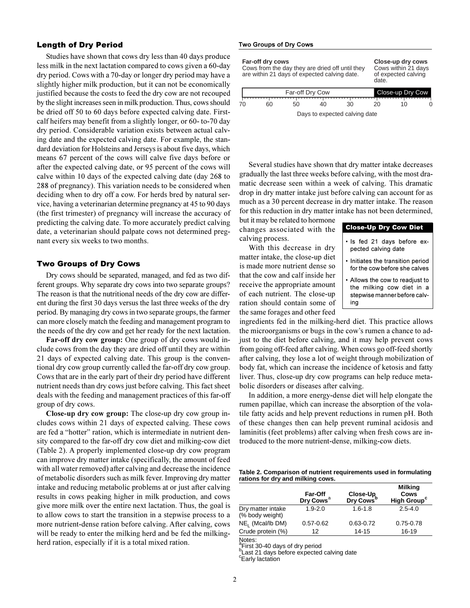#### Length of Dry Period

Studies have shown that cows dry less than 40 days produce less milk in the next lactation compared to cows given a 60-day dry period. Cows with a 70-day or longer dry period may have a slightly higher milk production, but it can not be economically justified because the costs to feed the dry cow are not recouped by the slight increases seen in milk production. Thus, cows should be dried off 50 to 60 days before expected calving date. Firstcalf heifers may benefit from a slightly longer, or 60- to-70 day dry period. Considerable variation exists between actual calving date and the expected calving date. For example, the standard deviation for Holsteins and Jerseys is about five days, which means 67 percent of the cows will calve five days before or after the expected calving date, or 95 percent of the cows will calve within 10 days of the expected calving date (day 268 to 288 of pregnancy). This variation needs to be considered when deciding when to dry off a cow. For herds bred by natural service, having a veterinarian determine pregnancy at 45 to 90 days (the first trimester) of pregnancy will increase the accuracy of predicting the calving date. To more accurately predict calving date, a veterinarian should palpate cows not determined pregnant every six weeks to two months.

## Two Groups of Dry Cows

Dry cows should be separated, managed, and fed as two different groups. Why separate dry cows into two separate groups? The reason is that the nutritional needs of the dry cow are different during the first 30 days versus the last three weeks of the dry period. By managing dry cows in two separate groups, the farmer can more closely match the feeding and management program to the needs of the dry cow and get her ready for the next lactation.

**Far-off dry cow group:** One group of dry cows would include cows from the day they are dried off until they are within 21 days of expected calving date. This group is the conventional dry cow group currently called the far-off dry cow group. Cows that are in the early part of their dry period have different nutrient needs than dry cows just before calving. This fact sheet deals with the feeding and management practices of this far-off group of dry cows.

**Close-up dry cow group:** The close-up dry cow group includes cows within 21 days of expected calving. These cows are fed a "hotter" ration, which is intermediate in nutrient density compared to the far-off dry cow diet and milking-cow diet (Table 2). A properly implemented close-up dry cow program can improve dry matter intake (specifically, the amount of feed with all water removed) after calving and decrease the incidence of metabolic disorders such as milk fever. Improving dry matter intake and reducing metabolic problems at or just after calving results in cows peaking higher in milk production, and cows give more milk over the entire next lactation. Thus, the goal is to allow cows to start the transition in a stepwise process to a more nutrient-dense ration before calving. After calving, cows will be ready to enter the milking herd and be fed the milkingherd ration, especially if it is a total mixed ration.

#### **Two Groups of Dry Cows**

| Far-off dry cows<br>Cows from the day they are dried off until they<br>are within 21 days of expected calving date. | Close-up dry cows<br>Cows within 21 days<br>of expected calving<br>date. |
|---------------------------------------------------------------------------------------------------------------------|--------------------------------------------------------------------------|
| Far-off Dry Cow                                                                                                     | Close-up Dry Cow                                                         |
|                                                                                                                     |                                                                          |

|    |    | <b>FaI-OII DIV COW</b> |                               |     |     | ■ Close-up Dry Cow |  |
|----|----|------------------------|-------------------------------|-----|-----|--------------------|--|
|    |    |                        |                               |     |     |                    |  |
| 70 | 60 | 50                     | 40                            | -30 | 20. | 10                 |  |
|    |    |                        | Days to expected calving date |     |     |                    |  |

Several studies have shown that dry matter intake decreases gradually the last three weeks before calving, with the most dramatic decrease seen within a week of calving. This dramatic drop in dry matter intake just before calving can account for as much as a 30 percent decrease in dry matter intake. The reason for this reduction in dry matter intake has not been determined,

but it may be related to hormone changes associated with the calving process.

With this decrease in dry matter intake, the close-up diet is made more nutrient dense so that the cow and calf inside her receive the appropriate amount of each nutrient. The close-up ration should contain some of the same forages and other feed

#### Close-Up Dry Cow Diet

- Is fed 21 days before expected calving date
- Initiates the transition period for the cow before she calves
- Allows the cow to readjust to the milking cow diet in a stepwise manner before calving

ingredients fed in the milking-herd diet. This practice allows the microorganisms or bugs in the cow's rumen a chance to adjust to the diet before calving, and it may help prevent cows from going off-feed after calving. When cows go off-feed shortly after calving, they lose a lot of weight through mobilization of body fat, which can increase the incidence of ketosis and fatty liver. Thus, close-up dry cow programs can help reduce metabolic disorders or diseases after calving.

In addition, a more energy-dense diet will help elongate the rumen papillae, which can increase the absorption of the volatile fatty acids and help prevent reductions in rumen pH. Both of these changes then can help prevent ruminal acidosis and laminitis (feet problems) after calving when fresh cows are introduced to the more nutrient-dense, milking-cow diets.

**Table 2. Comparison of nutrient requirements used in formulating rations for dry and milking cows.**

|                                      | Far-Off<br>Dry Cows <sup>a</sup> | Close-Up<br>Dry Cowsb | <b>Milking</b><br>Cows<br>High Group <sup>c</sup> |
|--------------------------------------|----------------------------------|-----------------------|---------------------------------------------------|
| Dry matter intake<br>(% body weight) | $1.9 - 2.0$                      | $1.6 - 1.8$           | $2.5 - 4.0$                                       |
| NE <sub>1</sub> (Mcal/lb DM)         | $0.57 - 0.62$                    | $0.63 - 0.72$         | $0.75 - 0.78$                                     |
| Crude protein (%)                    | 12                               | 14-15                 | 16-19                                             |
| <b>Matao:</b>                        |                                  |                       |                                                   |

Notes:<br><sup>a</sup>First 30-40 days of dry period<br><sup>b</sup>Loot 31 days befare avagated

bLast 21 days before expected calving date

 $\textdegree$ Early lactation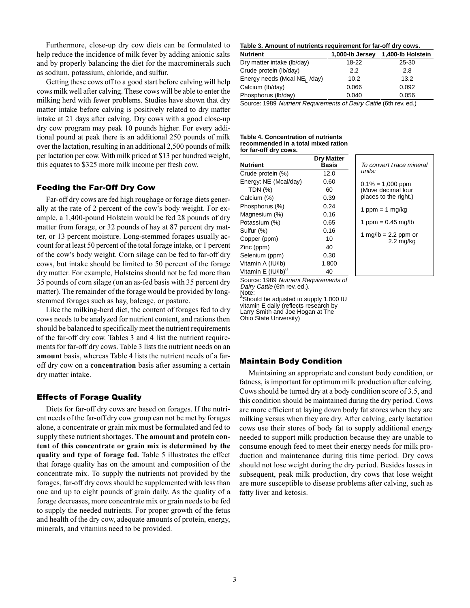Furthermore, close-up dry cow diets can be formulated to help reduce the incidence of milk fever by adding anionic salts and by properly balancing the diet for the macrominerals such as sodium, potassium, chloride, and sulfur.

Getting these cows off to a good start before calving will help cows milk well after calving. These cows will be able to enter the milking herd with fewer problems. Studies have shown that dry matter intake before calving is positively related to dry matter intake at 21 days after calving. Dry cows with a good close-up dry cow program may peak 10 pounds higher. For every additional pound at peak there is an additional 250 pounds of milk over the lactation, resulting in an additional 2,500 pounds of milk per lactation per cow. With milk priced at \$13 per hundred weight, this equates to \$325 more milk income per fresh cow.

## Feeding the Far-Off Dry Cow

Far-off dry cows are fed high roughage or forage diets generally at the rate of 2 percent of the cow's body weight. For example, a 1,400-pound Holstein would be fed 28 pounds of dry matter from forage, or 32 pounds of hay at 87 percent dry matter, or 13 percent moisture. Long-stemmed forages usually account for at least 50 percent of the total forage intake, or 1 percent of the cow's body weight. Corn silage can be fed to far-off dry cows, but intake should be limited to 50 percent of the forage dry matter. For example, Holsteins should not be fed more than 35 pounds of corn silage (on an as-fed basis with 35 percent dry matter). The remainder of the forage would be provided by longstemmed forages such as hay, baleage, or pasture.

Like the milking-herd diet, the content of forages fed to dry cows needs to be analyzed for nutrient content, and rations then should be balanced to specifically meet the nutrient requirements of the far-off dry cow. Tables 3 and 4 list the nutrient requirements for far-off dry cows. Table 3 lists the nutrient needs on an **amount** basis, whereas Table 4 lists the nutrient needs of a faroff dry cow on a **concentration** basis after assuming a certain dry matter intake.

## Effects of Forage Quality

Diets for far-off dry cows are based on forages. If the nutrient needs of the far-off dry cow group can not be met by forages alone, a concentrate or grain mix must be formulated and fed to supply these nutrient shortages. **The amount and protein content of this concentrate or grain mix is determined by the quality and type of forage fed.** Table 5 illustrates the effect that forage quality has on the amount and composition of the concentrate mix. To supply the nutrients not provided by the forages, far-off dry cows should be supplemented with less than one and up to eight pounds of grain daily. As the quality of a forage decreases, more concentrate mix or grain needs to be fed to supply the needed nutrients. For proper growth of the fetus and health of the dry cow, adequate amounts of protein, energy, minerals, and vitamins need to be provided.

#### **Table 3. Amount of nutrients requirement for far-off dry cows.**

| <b>Nutrient</b>              | 1,000-lb Jersey | 1,400-lb Holstein |
|------------------------------|-----------------|-------------------|
| Dry matter intake (lb/day)   | 18-22           | 25-30             |
| Crude protein (lb/day)       | 2.2             | 2.8               |
| Energy needs (Mcal NE, /day) | 10.2            | 13.2              |
| Calcium (lb/day)             | 0.066           | 0.092             |
| Phosphorus (lb/day)          | 0.040           | 0.056             |
|                              |                 |                   |

Source: 1989 Nutrient Requirements of Dairy Cattle (6th rev. ed.)

#### **Table 4. Concentration of nutrients recommended in a total mixed ration for far-off dry cows.**

| <b>Nutrient</b>                | <b>Dry Matter</b><br>Basis | To convert trace mineral                    |
|--------------------------------|----------------------------|---------------------------------------------|
| Crude protein (%)              | 12.0                       | units:                                      |
| Energy: NE (Mcal/day)          | 0.60                       | $0.1\% = 1,000$ ppm                         |
| <b>TDN (%)</b>                 | 60                         | (Move decimal four                          |
| Calcium (%)                    | 0.39                       | places to the right.)                       |
| Phosphorus (%)                 | 0.24                       | 1 ppm = 1 mg/kg                             |
| Magnesium (%)                  | 0.16                       |                                             |
| Potassium (%)                  | 0.65                       | 1 ppm = $0.45$ mg/lb                        |
| Sulfur (%)                     | 0.16                       |                                             |
| Copper (ppm)                   | 10                         | 1 mg/lb = 2.2 ppm or<br>$2.2 \text{ mg/kg}$ |
| Zinc (ppm)                     | 40                         |                                             |
| Selenium (ppm)                 | 0.30                       |                                             |
| Vitamin A (IU/Ib)              | 1,800                      |                                             |
| Vitamin E (IU/Ib) <sup>a</sup> | 40                         |                                             |

Source: 1989 Nutrient Requirements of Dairy Cattle (6th rev. ed.).

Note: a Should be adjusted to supply 1,000 IU vitamin E daily (reflects research by Larry Smith and Joe Hogan at The Ohio State University)

#### Maintain Body Condition

Maintaining an appropriate and constant body condition, or fatness, is important for optimum milk production after calving. Cows should be turned dry at a body condition score of 3.5, and this condition should be maintained during the dry period. Cows are more efficient at laying down body fat stores when they are milking versus when they are dry. After calving, early lactation cows use their stores of body fat to supply additional energy needed to support milk production because they are unable to consume enough feed to meet their energy needs for milk production and maintenance during this time period. Dry cows should not lose weight during the dry period. Besides losses in subsequent, peak milk production, dry cows that lose weight are more susceptible to disease problems after calving, such as fatty liver and ketosis.